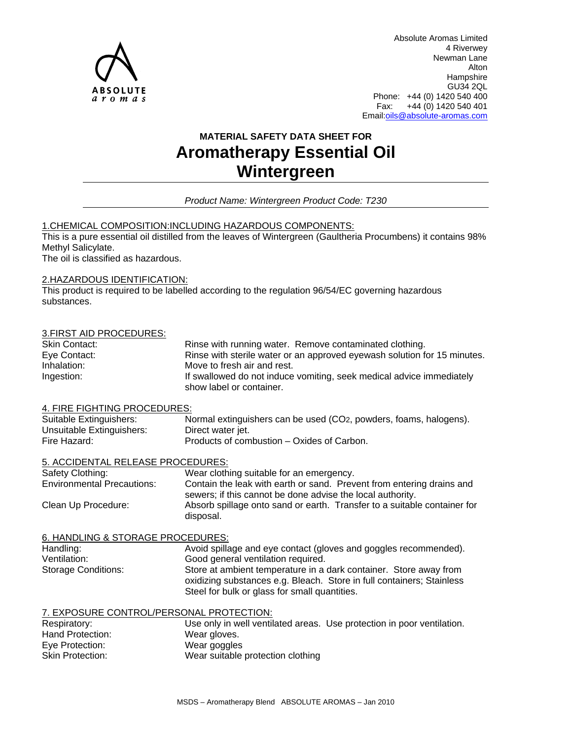

Absolute Aromas Limited 4 Riverwey Newman Lane Alton Hampshire GU34 2QL Phone: +44 (0) 1420 540 400 Fax: +44 (0) 1420 540 401 Email:oils@absolute-aromas.com

# **MATERIAL SAFETY DATA SHEET FOR Aromatherapy Essential Oil Wintergreen**

*Product Name: Wintergreen Product Code: T230*

# 1.CHEMICAL COMPOSITION:INCLUDING HAZARDOUS COMPONENTS:

This is a pure essential oil distilled from the leaves of Wintergreen (Gaultheria Procumbens) it contains 98% Methyl Salicylate.

The oil is classified as hazardous.

## 2.HAZARDOUS IDENTIFICATION:

This product is required to be labelled according to the regulation 96/54/EC governing hazardous substances.

# 3.FIRST AID PROCEDURES:

| Skin Contact: | Rinse with running water. Remove contaminated clothing.                  |
|---------------|--------------------------------------------------------------------------|
| Eye Contact:  | Rinse with sterile water or an approved eyewash solution for 15 minutes. |
| Inhalation:   | Move to fresh air and rest.                                              |
| Ingestion:    | If swallowed do not induce vomiting, seek medical advice immediately     |
|               | show label or container.                                                 |

## 4. FIRE FIGHTING PROCEDURES:

| Suitable Extinguishers:   | Normal extinguishers can be used (CO <sub>2</sub> , powders, foams, halogens). |
|---------------------------|--------------------------------------------------------------------------------|
| Unsuitable Extinguishers: | Direct water jet.                                                              |
| Fire Hazard:              | Products of combustion – Oxides of Carbon.                                     |

## 5. ACCIDENTAL RELEASE PROCEDURES:

| Safety Clothing:                  | Wear clothing suitable for an emergency.                                              |
|-----------------------------------|---------------------------------------------------------------------------------------|
| <b>Environmental Precautions:</b> | Contain the leak with earth or sand. Prevent from entering drains and                 |
|                                   | sewers; if this cannot be done advise the local authority.                            |
| Clean Up Procedure:               | Absorb spillage onto sand or earth. Transfer to a suitable container for<br>disposal. |

## 6. HANDLING & STORAGE PROCEDURES:

| Handling:           | Avoid spillage and eye contact (gloves and goggles recommended).                                                                                                                            |
|---------------------|---------------------------------------------------------------------------------------------------------------------------------------------------------------------------------------------|
| Ventilation:        | Good general ventilation required.                                                                                                                                                          |
| Storage Conditions: | Store at ambient temperature in a dark container. Store away from<br>oxidizing substances e.g. Bleach. Store in full containers; Stainless<br>Steel for bulk or glass for small quantities. |

## 7. EXPOSURE CONTROL/PERSONAL PROTECTION:

| Respiratory:            |                                   | Use only in well ventilated areas. Use protection in poor ventilation. |
|-------------------------|-----------------------------------|------------------------------------------------------------------------|
| Hand Protection:        | Wear gloves.                      |                                                                        |
| Eye Protection:         | Wear goggles                      |                                                                        |
| <b>Skin Protection:</b> | Wear suitable protection clothing |                                                                        |